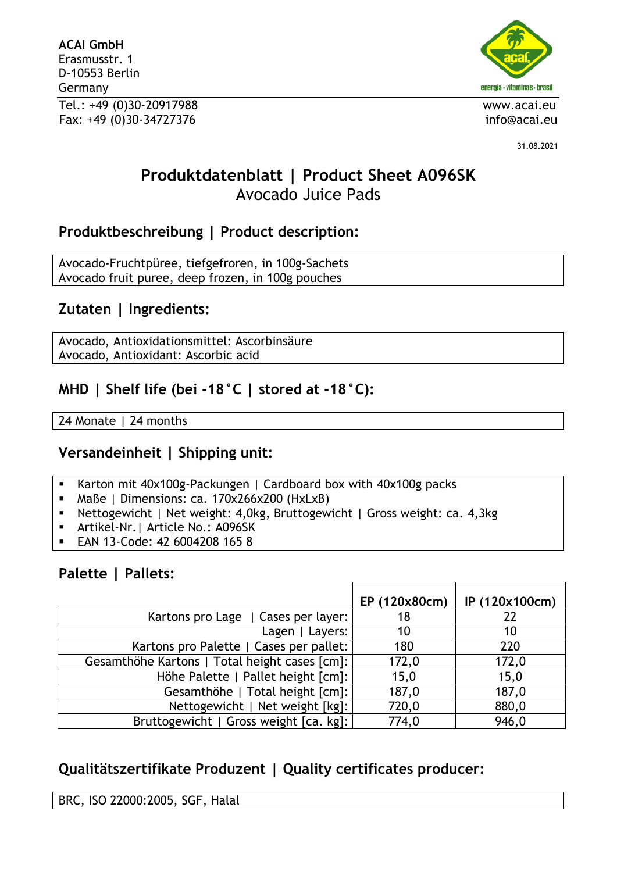**ACAI GmbH** Erasmusstr. 1 D-10553 Berlin Germany Tel.: +49 (0)30-20917988 www.acai.eu Fax: +49 (0)30-34727376 info@acai.eu



31.08.2021

# **Produktdatenblatt | Product Sheet A096SK** Avocado Juice Pads

## **Produktbeschreibung | Product description:**

Avocado-Fruchtpüree, tiefgefroren, in 100g-Sachets Avocado fruit puree, deep frozen, in 100g pouches

# **Zutaten | Ingredients:**

Avocado, Antioxidationsmittel: Ascorbinsäure Avocado, Antioxidant: Ascorbic acid

# **MHD | Shelf life (bei -18°C | stored at -18°C):**

24 Monate | 24 months

## **Versandeinheit | Shipping unit:**

- Karton mit 40x100g-Packungen | Cardboard box with 40x100g packs
- Maße | Dimensions: ca. 170x266x200 (HxLxB)
- Nettogewicht | Net weight: 4,0kg, Bruttogewicht | Gross weight: ca. 4,3kg
- Artikel-Nr. | Article No.: A096SK
- EAN 13-Code: 42 6004208 165 8

# **Palette | Pallets:**

|                                               | EP (120x80cm) | IP (120x100cm) |
|-----------------------------------------------|---------------|----------------|
| Kartons pro Lage   Cases per layer:           | 18            | 22             |
| Lagen   Layers:                               | 10            | 10             |
| Kartons pro Palette   Cases per pallet:       | 180           | 220            |
| Gesamthöhe Kartons   Total height cases [cm]: | 172,0         | 172,0          |
| Höhe Palette   Pallet height [cm]:            | 15,0          | 15,0           |
| Gesamthöhe   Total height [cm]:               | 187,0         | 187,0          |
| Nettogewicht   Net weight [kg]:               | 720,0         | 880,0          |
| Bruttogewicht   Gross weight [ca. kg]:        | 774,0         | 946,0          |

# **Qualitätszertifikate Produzent | Quality certificates producer:**

BRC, ISO 22000:2005, SGF, Halal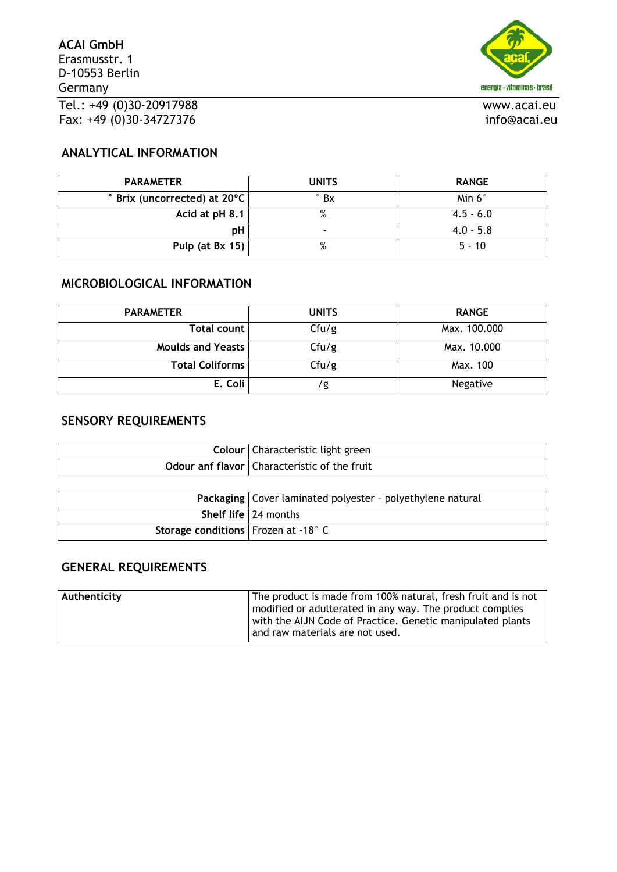

#### **ANALYTICAL INFORMATION**

| <b>PARAMETER</b>                               | <b>UNITS</b>             | <b>RANGE</b>  |
|------------------------------------------------|--------------------------|---------------|
| $\degree$ Brix (uncorrected) at 20 $\degree$ C | $\degree$ Bx             | Min $6^\circ$ |
| Acid at $pH 8.1$                               | %                        | $4.5 - 6.0$   |
| pН                                             | $\overline{\phantom{0}}$ | $4.0 - 5.8$   |
| Pulp (at Bx 15)                                | %                        | $5 - 10$      |

#### **MICROBIOLOGICAL INFORMATION**

| <b>PARAMETER</b>         | <b>UNITS</b> | <b>RANGE</b> |  |
|--------------------------|--------------|--------------|--|
| Total count              | Cfu/g        | Max. 100.000 |  |
| <b>Moulds and Yeasts</b> | Cfu/g        | Max. 10.000  |  |
| <b>Total Coliforms</b>   | Cfu/g        | Max. 100     |  |
| E. Coli                  | । a          | Negative     |  |

## **SENSORY REQUIREMENTS**

| Colour   Characteristic light green                   |
|-------------------------------------------------------|
| <b>Odour anf flavor</b>   Characteristic of the fruit |

|                                       | Packaging   Cover laminated polyester - polyethylene natural |
|---------------------------------------|--------------------------------------------------------------|
|                                       | <b>Shelf life</b> $\sqrt{24}$ months                         |
| Storage conditions   Frozen at -18° C |                                                              |

### **GENERAL REQUIREMENTS**

| Authenticity | The product is made from 100% natural, fresh fruit and is not |
|--------------|---------------------------------------------------------------|
|              | modified or adulterated in any way. The product complies      |
|              | with the AIJN Code of Practice. Genetic manipulated plants    |
|              | and raw materials are not used.                               |